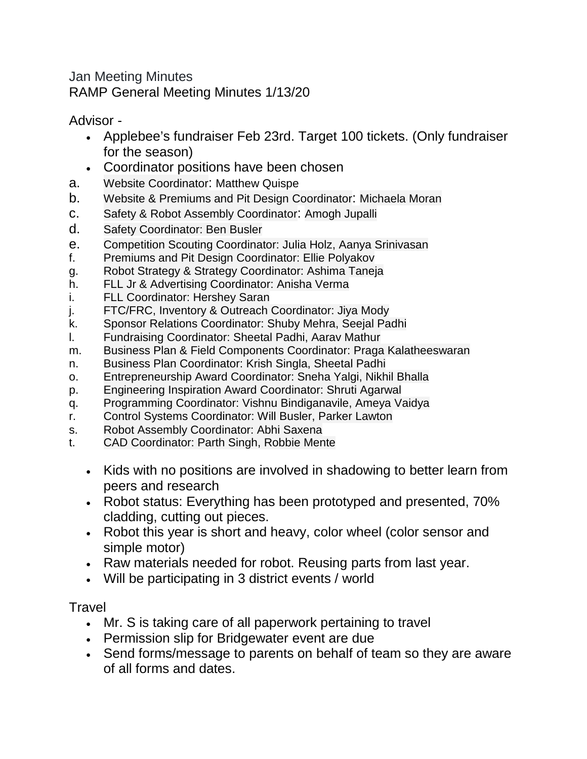Jan Meeting Minutes RAMP General Meeting Minutes 1/13/20

Advisor -

- Applebee's fundraiser Feb 23rd. Target 100 tickets. (Only fundraiser for the season)
- Coordinator positions have been chosen
- a. Website Coordinator: Matthew Quispe
- b. Website & Premiums and Pit Design Coordinator: Michaela Moran
- c. Safety & Robot Assembly Coordinator: Amogh Jupalli
- d. Safety Coordinator: Ben Busler
- e. Competition Scouting Coordinator: Julia Holz, Aanya Srinivasan
- f. Premiums and Pit Design Coordinator: Ellie Polyakov
- g. Robot Strategy & Strategy Coordinator: Ashima Taneja
- h. FLL Jr & Advertising Coordinator: Anisha Verma
- i. FLL Coordinator: Hershey Saran
- j. FTC/FRC, Inventory & Outreach Coordinator: Jiya Mody
- k. Sponsor Relations Coordinator: Shuby Mehra, Seejal Padhi
- l. Fundraising Coordinator: Sheetal Padhi, Aarav Mathur
- m. Business Plan & Field Components Coordinator: Praga Kalatheeswaran
- n. Business Plan Coordinator: Krish Singla, Sheetal Padhi
- o. Entrepreneurship Award Coordinator: Sneha Yalgi, Nikhil Bhalla
- p. Engineering Inspiration Award Coordinator: Shruti Agarwal
- q. Programming Coordinator: Vishnu Bindiganavile, Ameya Vaidya
- r. Control Systems Coordinator: Will Busler, Parker Lawton
- s. Robot Assembly Coordinator: Abhi Saxena
- t. CAD Coordinator: Parth Singh, Robbie Mente
	- Kids with no positions are involved in shadowing to better learn from peers and research
	- Robot status: Everything has been prototyped and presented, 70% cladding, cutting out pieces.
	- Robot this year is short and heavy, color wheel (color sensor and simple motor)
	- Raw materials needed for robot. Reusing parts from last year.
	- Will be participating in 3 district events / world

**Travel** 

- Mr. S is taking care of all paperwork pertaining to travel
- Permission slip for Bridgewater event are due
- Send forms/message to parents on behalf of team so they are aware of all forms and dates.